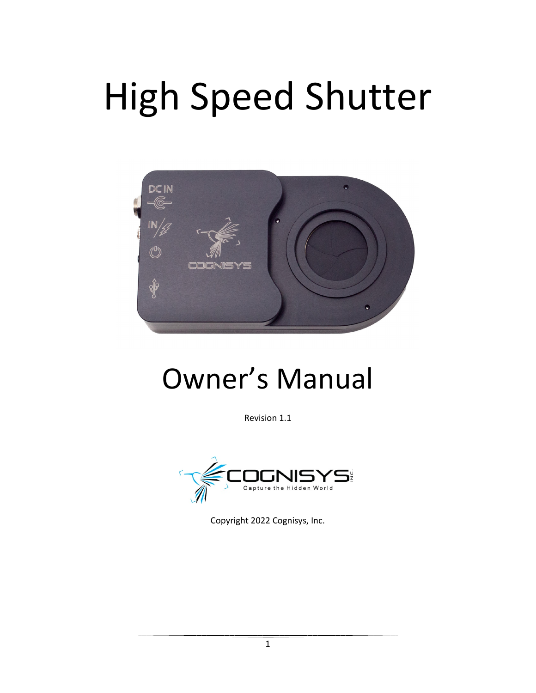# High Speed Shutter



# Owner's Manual

Revision 1.1



Copyright 2022 Cognisys, Inc.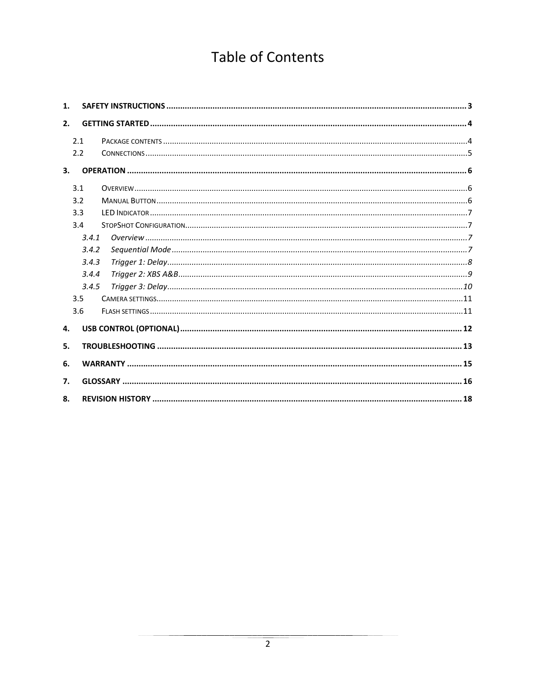# **Table of Contents**

| 1. |       |  |
|----|-------|--|
| 2. |       |  |
|    | 2.1   |  |
|    | 2.2   |  |
| 3. |       |  |
|    | 3.1   |  |
|    | 3.2   |  |
|    | 3.3   |  |
|    | 3.4   |  |
|    | 3.4.1 |  |
|    | 3.4.2 |  |
|    | 3.4.3 |  |
|    | 3.4.4 |  |
|    | 3.4.5 |  |
|    | 3.5   |  |
|    | 3.6   |  |
| 4. |       |  |
| 5. |       |  |
| 6. |       |  |
| 7. |       |  |
| 8. |       |  |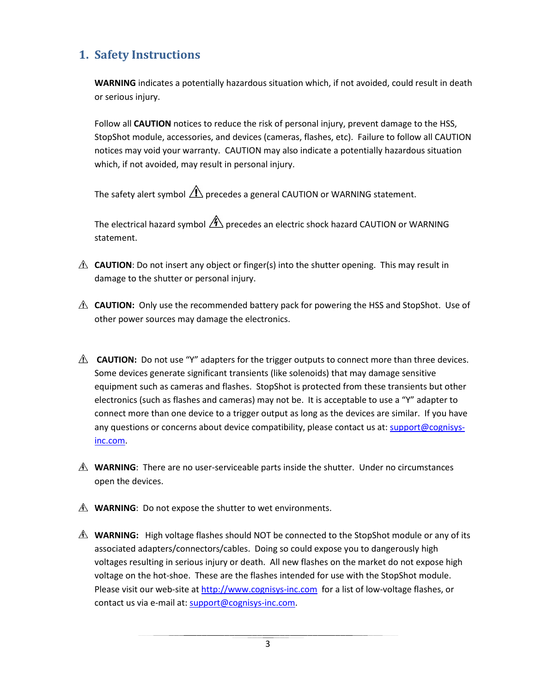# <span id="page-2-0"></span>**1. Safety Instructions**

**WARNING** indicates a potentially hazardous situation which, if not avoided, could result in death or serious injury.

Follow all **CAUTION** notices to reduce the risk of personal injury, prevent damage to the HSS, StopShot module, accessories, and devices (cameras, flashes, etc). Failure to follow all CAUTION notices may void your warranty. CAUTION may also indicate a potentially hazardous situation which, if not avoided, may result in personal injury.

The safety alert symbol  $\triangle$  precedes a general CAUTION or WARNING statement.

The electrical hazard symbol  $\mathcal{A}$  precedes an electric shock hazard CAUTION or WARNING statement.

- **A CAUTION**: Do not insert any object or finger(s) into the shutter opening. This may result in damage to the shutter or personal injury.
- **A CAUTION:** Only use the recommended battery pack for powering the HSS and StopShot. Use of other power sources may damage the electronics.
- **A CAUTION:** Do not use "Y" adapters for the trigger outputs to connect more than three devices. Some devices generate significant transients (like solenoids) that may damage sensitive equipment such as cameras and flashes. StopShot is protected from these transients but other electronics (such as flashes and cameras) may not be. It is acceptable to use a "Y" adapter to connect more than one device to a trigger output as long as the devices are similar. If you have any questions or concerns about device compatibility, please contact us at[: support@cognisys](mailto:support@cognisys-inc.com)[inc.com.](mailto:support@cognisys-inc.com)
- **WARNING**: There are no user-serviceable parts inside the shutter. Under no circumstances open the devices.
- *A* **WARNING**: Do not expose the shutter to wet environments.
- **A WARNING:** High voltage flashes should NOT be connected to the StopShot module or any of its associated adapters/connectors/cables. Doing so could expose you to dangerously high voltages resulting in serious injury or death. All new flashes on the market do not expose high voltage on the hot-shoe. These are the flashes intended for use with the StopShot module. Please visit our web-site at [http://www.cognisys-inc.com](http://www.cognisys-inc.com/) for a list of low-voltage flashes, or contact us via e-mail at[: support@cognisys-inc.com.](mailto:support@cognisys-inc.com)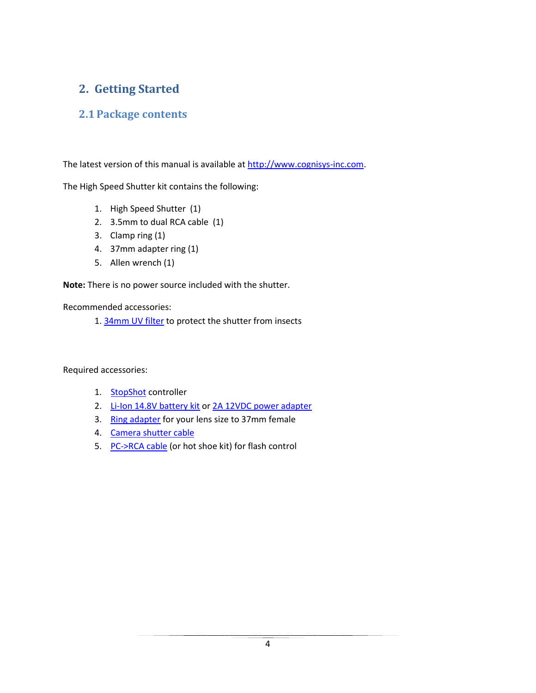# <span id="page-3-0"></span>**2. Getting Started**

#### <span id="page-3-1"></span>**2.1Package contents**

The latest version of this manual is available at [http://www.cognisys-inc.com.](http://www.cognisys-inc.com/)

The High Speed Shutter kit contains the following:

- 1. High Speed Shutter (1)
- 2. 3.5mm to dual RCA cable (1)
- 3. Clamp ring (1)
- 4. 37mm adapter ring (1)
- 5. Allen wrench (1)

**Note:** There is no power source included with the shutter.

Recommended accessories:

1. [34mm UV](https://cognisys-inc.com/triggering-systems/hs-shutter/34mm-uv-filter-for-high-speed-shutter.html) filter to protect the shutter from insects

Required accessories:

- 1. **[StopShot](https://cognisys-inc.com/triggering-systems/controllers/stopshot-controller.html)** controller
- 2. [Li-Ion 14.8V battery kit](https://cognisys-inc.com/focus-stacking/accessories/li-ion-battery-kit-5200-mahr.html) or [2A 12VDC power adapter](https://cognisys-inc.com/focus-stacking/accessories/stackshot-ac-adapter.html)
- 3. [Ring adapter](https://cognisys-inc.com/triggering-systems/hs-shutter/37mm-step-down-adapter-ring.html) for your lens size to 37mm female
- 4. [Camera shutter cable](https://cognisys-inc.com/cables/shutter-interface-cables/shutter-interface-cable-rca.html)
- 5. [PC->RCA cable](https://cognisys-inc.com/cables/flash-cables/stopshot-flash-cables.html) (or hot shoe kit) for flash control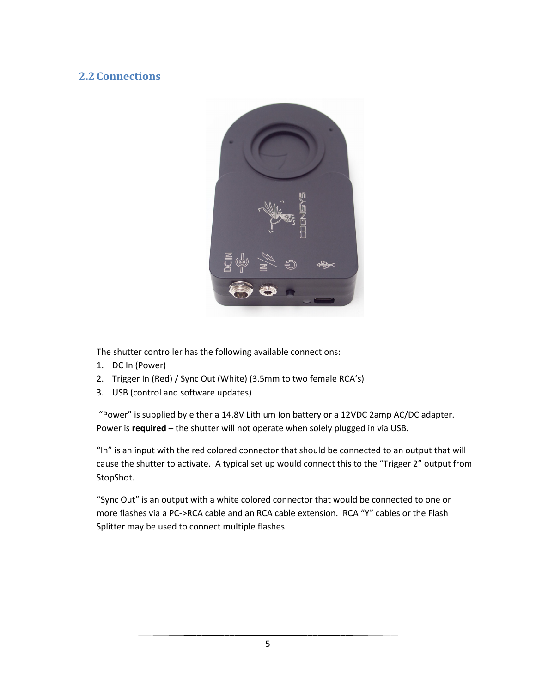#### <span id="page-4-0"></span>**2.2 Connections**



The shutter controller has the following available connections:

- 1. DC In (Power)
- 2. Trigger In (Red) / Sync Out (White) (3.5mm to two female RCA's)
- 3. USB (control and software updates)

"Power" is supplied by either a 14.8V Lithium Ion battery or a 12VDC 2amp AC/DC adapter. Power is **required** – the shutter will not operate when solely plugged in via USB.

"In" is an input with the red colored connector that should be connected to an output that will cause the shutter to activate. A typical set up would connect this to the "Trigger 2" output from StopShot.

"Sync Out" is an output with a white colored connector that would be connected to one or more flashes via a PC->RCA cable and an RCA cable extension. RCA "Y" cables or the Flash Splitter may be used to connect multiple flashes.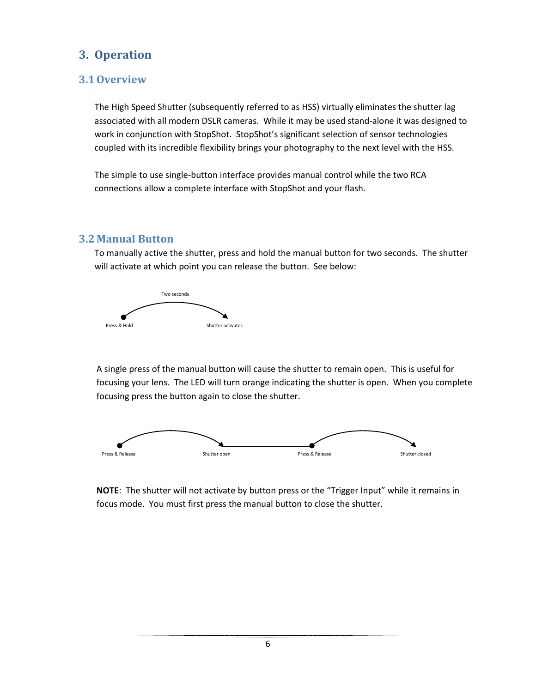# <span id="page-5-0"></span>**3. Operation**

#### <span id="page-5-1"></span>**3.1Overview**

The High Speed Shutter (subsequently referred to as HSS) virtually eliminates the shutter lag associated with all modern DSLR cameras. While it may be used stand-alone it was designed to work in conjunction with StopShot. StopShot's significant selection of sensor technologies coupled with its incredible flexibility brings your photography to the next level with the HSS.

The simple to use single-button interface provides manual control while the two RCA connections allow a complete interface with StopShot and your flash.

#### <span id="page-5-2"></span>**3.2 Manual Button**

To manually active the shutter, press and hold the manual button for two seconds. The shutter will activate at which point you can release the button. See below:



A single press of the manual button will cause the shutter to remain open. This is useful for focusing your lens. The LED will turn orange indicating the shutter is open. When you complete focusing press the button again to close the shutter.



**NOTE**: The shutter will not activate by button press or the "Trigger Input" while it remains in focus mode. You must first press the manual button to close the shutter.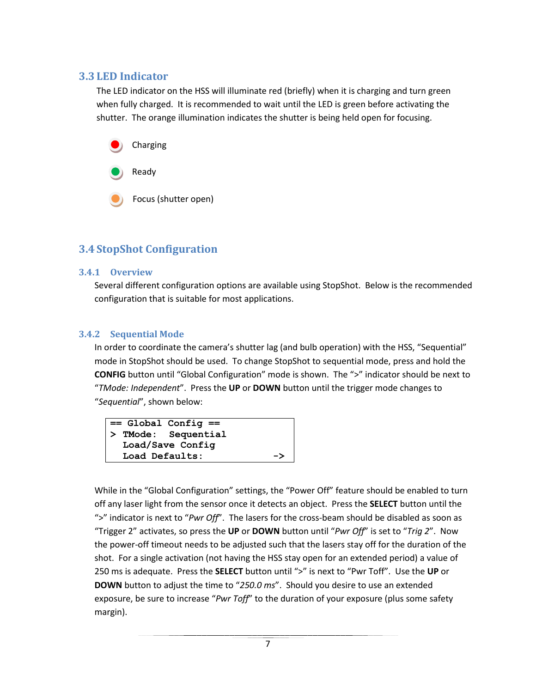#### <span id="page-6-0"></span>**3.3 LED Indicator**

The LED indicator on the HSS will illuminate red (briefly) when it is charging and turn green when fully charged. It is recommended to wait until the LED is green before activating the shutter. The orange illumination indicates the shutter is being held open for focusing.



#### <span id="page-6-1"></span>**3.4 StopShot Configuration**

#### <span id="page-6-2"></span>**3.4.1 Overview**

Several different configuration options are available using StopShot. Below is the recommended configuration that is suitable for most applications.

#### <span id="page-6-3"></span>**3.4.2 Sequential Mode**

In order to coordinate the camera's shutter lag (and bulb operation) with the HSS, "Sequential" mode in StopShot should be used. To change StopShot to sequential mode, press and hold the **CONFIG** button until "Global Configuration" mode is shown. The ">" indicator should be next to "*TMode: Independent*". Press the **UP** or **DOWN** button until the trigger mode changes to "*Sequential*", shown below:



While in the "Global Configuration" settings, the "Power Off" feature should be enabled to turn off any laser light from the sensor once it detects an object. Press the **SELECT** button until the ">" indicator is next to "*Pwr Off*". The lasers for the cross-beam should be disabled as soon as "Trigger 2" activates, so press the **UP** or **DOWN** button until "*Pwr Off*" is set to "*Trig 2*". Now the power-off timeout needs to be adjusted such that the lasers stay off for the duration of the shot. For a single activation (not having the HSS stay open for an extended period) a value of 250 ms is adequate. Press the **SELECT** button until ">" is next to "Pwr Toff". Use the **UP** or **DOWN** button to adjust the time to "*250.0 ms*". Should you desire to use an extended exposure, be sure to increase "*Pwr Toff*" to the duration of your exposure (plus some safety margin).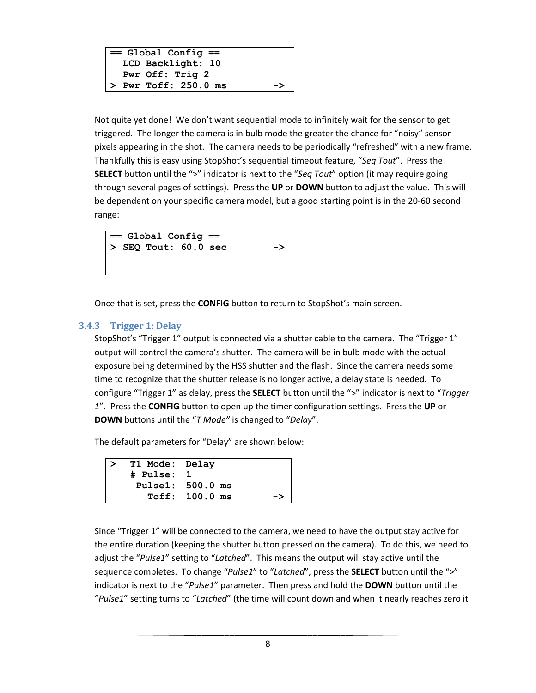```
== Global Config ==
 LCD Backlight: 10
 Pwr Off: Trig 2
> Pwr Toff: 250.0 ms ->
```
Not quite yet done! We don't want sequential mode to infinitely wait for the sensor to get triggered. The longer the camera is in bulb mode the greater the chance for "noisy" sensor pixels appearing in the shot. The camera needs to be periodically "refreshed" with a new frame. Thankfully this is easy using StopShot's sequential timeout feature, "*Seq Tout*". Press the **SELECT** button until the ">" indicator is next to the "*Seq Tout*" option (it may require going through several pages of settings). Press the **UP** or **DOWN** button to adjust the value. This will be dependent on your specific camera model, but a good starting point is in the 20-60 second range:



Once that is set, press the **CONFIG** button to return to StopShot's main screen.

#### <span id="page-7-0"></span>**3.4.3 Trigger 1: Delay**

StopShot's "Trigger 1" output is connected via a shutter cable to the camera. The "Trigger 1" output will control the camera's shutter. The camera will be in bulb mode with the actual exposure being determined by the HSS shutter and the flash. Since the camera needs some time to recognize that the shutter release is no longer active, a delay state is needed. To configure "Trigger 1" as delay, press the **SELECT** button until the ">" indicator is next to "*Trigger 1*". Press the **CONFIG** button to open up the timer configuration settings. Press the **UP** or **DOWN** buttons until the "*T Mode"* is changed to "*Delay*".

The default parameters for "Delay" are shown below:

```
> T1 Mode: Delay
# Pulse: 1
 Pulse1: 500.0 ms
  Toff: 100.0 ms ->
```
Since "Trigger 1" will be connected to the camera, we need to have the output stay active for the entire duration (keeping the shutter button pressed on the camera). To do this, we need to adjust the "*Pulse1*" setting to "*Latched*". This means the output will stay active until the sequence completes. To change "*Pulse1*" to "*Latched*", press the **SELECT** button until the ">" indicator is next to the "*Pulse1*" parameter. Then press and hold the **DOWN** button until the "*Pulse1*" setting turns to "*Latched*" (the time will count down and when it nearly reaches zero it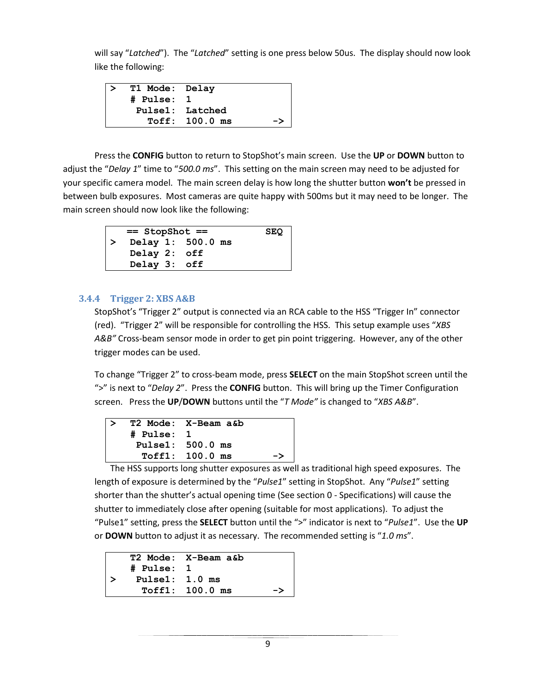will say "*Latched*"). The "*Latched*" setting is one press below 50us. The display should now look like the following:

| T1 Mode: Delay |                  |    |
|----------------|------------------|----|
| # Pulse: 1     |                  |    |
|                | Pulse1: Latched  |    |
|                | $Toff: 100.0$ ms | -> |

Press the **CONFIG** button to return to StopShot's main screen. Use the **UP** or **DOWN** button to adjust the "*Delay 1*" time to "*500.0 ms*". This setting on the main screen may need to be adjusted for your specific camera model. The main screen delay is how long the shutter button **won't** be pressed in between bulb exposures. Most cameras are quite happy with 500ms but it may need to be longer. The main screen should now look like the following:

| $==$ StopShot $==$ |                   |  | <b>SEQ</b> |  |
|--------------------|-------------------|--|------------|--|
|                    | Delay 1: 500.0 ms |  |            |  |
|                    | Delay 2: off      |  |            |  |
|                    | Delay 3: off      |  |            |  |

#### <span id="page-8-0"></span>**3.4.4 Trigger 2: XBS A&B**

StopShot's "Trigger 2" output is connected via an RCA cable to the HSS "Trigger In" connector (red). "Trigger 2" will be responsible for controlling the HSS. This setup example uses "*XBS A&B"* Cross-beam sensor mode in order to get pin point triggering. However, any of the other trigger modes can be used.

To change "Trigger 2" to cross-beam mode, press **SELECT** on the main StopShot screen until the ">" is next to "*Delay 2*". Press the **CONFIG** button. This will bring up the Timer Configuration screen. Press the **UP**/**DOWN** buttons until the "*T Mode"* is changed to "*XBS A&B*".

|            | T2 Mode: X-Beam a&b |    |
|------------|---------------------|----|
| # Pulse: 1 |                     |    |
|            | Pulse1: 500.0 ms    |    |
|            | $Toff1: 100.0$ ms   | -> |

The HSS supports long shutter exposures as well as traditional high speed exposures. The length of exposure is determined by the "*Pulse1*" setting in StopShot. Any "*Pulse1*" setting shorter than the shutter's actual opening time (See sectio[n 0](#page-13-0) - [Specifications\)](#page-13-0) will cause the shutter to immediately close after opening (suitable for most applications). To adjust the "Pulse1" setting, press the **SELECT** button until the ">" indicator is next to "*Pulse1*". Use the **UP** or **DOWN** button to adjust it as necessary. The recommended setting is "*1.0 ms*".

|                   | T2 Mode: X-Beam a&b |    |
|-------------------|---------------------|----|
| # Pulse: 1        |                     |    |
| Pulse $1: 1.0$ ms |                     |    |
|                   | $Toff1: 100.0$ ms   | -> |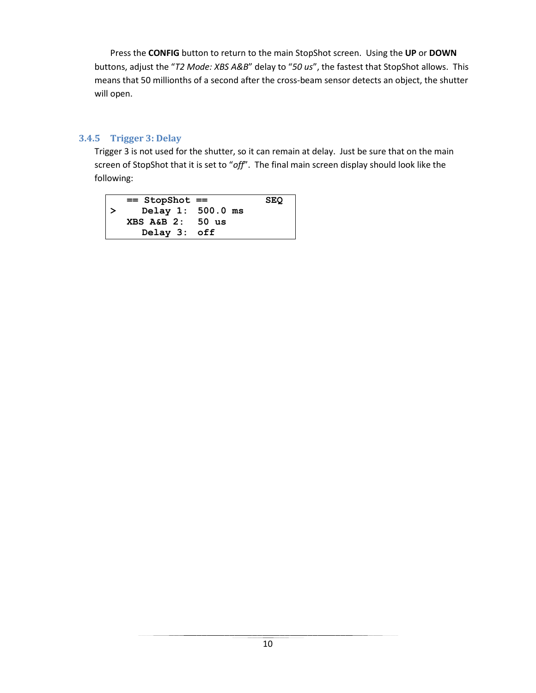Press the **CONFIG** button to return to the main StopShot screen. Using the **UP** or **DOWN** buttons, adjust the "*T2 Mode: XBS A&B*" delay to "*50 us*", the fastest that StopShot allows. This means that 50 millionths of a second after the cross-beam sensor detects an object, the shutter will open.

#### <span id="page-9-0"></span>**3.4.5 Trigger 3: Delay**

Trigger 3 is not used for the shutter, so it can remain at delay. Just be sure that on the main screen of StopShot that it is set to "*off*". The final main screen display should look like the following:

| $==$ StopShot $==$          |  | <b>SEQ</b> |
|-----------------------------|--|------------|
| $\vert$ > Delay 1: 500.0 ms |  |            |
| XBS A&B 2: 50 us            |  |            |
| Delay 3: off                |  |            |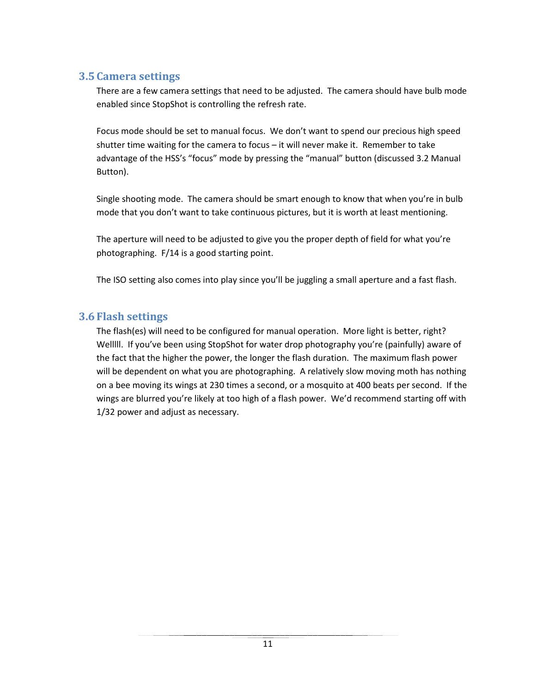#### <span id="page-10-0"></span>**3.5 Camera settings**

There are a few camera settings that need to be adjusted. The camera should have bulb mode enabled since StopShot is controlling the refresh rate.

Focus mode should be set to manual focus. We don't want to spend our precious high speed shutter time waiting for the camera to focus – it will never make it. Remember to take advantage of the HSS's "focus" mode by pressing the "manual" button (discussed [3.2](#page-5-2) [Manual](#page-5-2) [Button\)](#page-5-2).

Single shooting mode. The camera should be smart enough to know that when you're in bulb mode that you don't want to take continuous pictures, but it is worth at least mentioning.

The aperture will need to be adjusted to give you the proper depth of field for what you're photographing. F/14 is a good starting point.

The ISO setting also comes into play since you'll be juggling a small aperture and a fast flash.

#### <span id="page-10-1"></span>**3.6 Flash settings**

The flash(es) will need to be configured for manual operation. More light is better, right? Welllll. If you've been using StopShot for water drop photography you're (painfully) aware of the fact that the higher the power, the longer the flash duration. The maximum flash power will be dependent on what you are photographing. A relatively slow moving moth has nothing on a bee moving its wings at 230 times a second, or a mosquito at 400 beats per second. If the wings are blurred you're likely at too high of a flash power. We'd recommend starting off with 1/32 power and adjust as necessary.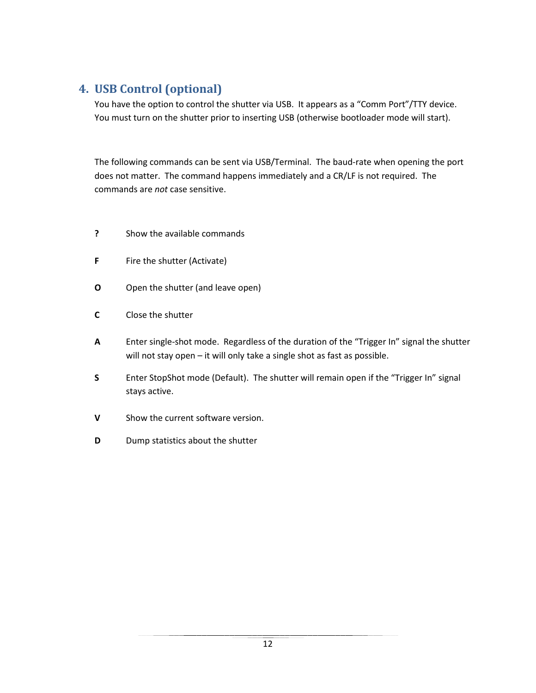## <span id="page-11-0"></span>**4. USB Control (optional)**

You have the option to control the shutter via USB. It appears as a "Comm Port"/TTY device. You must turn on the shutter prior to inserting USB (otherwise bootloader mode will start).

The following commands can be sent via USB/Terminal. The baud-rate when opening the port does not matter. The command happens immediately and a CR/LF is not required. The commands are *not* case sensitive.

- **?** Show the available commands
- **F** Fire the shutter (Activate)
- **O** Open the shutter (and leave open)
- **C** Close the shutter
- **A** Enter single-shot mode. Regardless of the duration of the "Trigger In" signal the shutter will not stay open – it will only take a single shot as fast as possible.
- **S** Enter StopShot mode (Default). The shutter will remain open if the "Trigger In" signal stays active.
- **V** Show the current software version.
- **D** Dump statistics about the shutter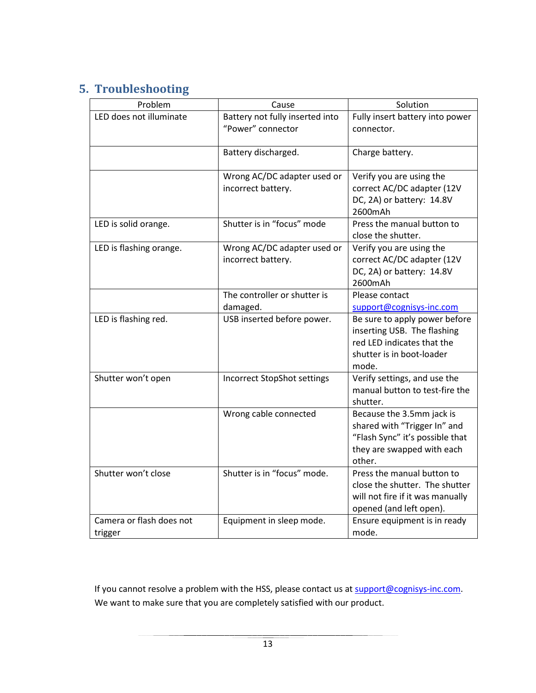# <span id="page-12-0"></span>**5. Troubleshooting**

| Problem                             | Cause                                                | Solution                                                                                                                             |
|-------------------------------------|------------------------------------------------------|--------------------------------------------------------------------------------------------------------------------------------------|
| LED does not illuminate             | Battery not fully inserted into<br>"Power" connector | Fully insert battery into power<br>connector.                                                                                        |
|                                     | Battery discharged.                                  | Charge battery.                                                                                                                      |
|                                     | Wrong AC/DC adapter used or<br>incorrect battery.    | Verify you are using the<br>correct AC/DC adapter (12V<br>DC, 2A) or battery: 14.8V<br>2600mAh                                       |
| LED is solid orange.                | Shutter is in "focus" mode                           | Press the manual button to<br>close the shutter.                                                                                     |
| LED is flashing orange.             | Wrong AC/DC adapter used or<br>incorrect battery.    | Verify you are using the<br>correct AC/DC adapter (12V<br>DC, 2A) or battery: 14.8V<br>2600mAh                                       |
|                                     | The controller or shutter is<br>damaged.             | Please contact<br>support@cognisys-inc.com                                                                                           |
| LED is flashing red.                | USB inserted before power.                           | Be sure to apply power before<br>inserting USB. The flashing<br>red LED indicates that the<br>shutter is in boot-loader<br>mode.     |
| Shutter won't open                  | <b>Incorrect StopShot settings</b>                   | Verify settings, and use the<br>manual button to test-fire the<br>shutter.                                                           |
|                                     | Wrong cable connected                                | Because the 3.5mm jack is<br>shared with "Trigger In" and<br>"Flash Sync" it's possible that<br>they are swapped with each<br>other. |
| Shutter won't close                 | Shutter is in "focus" mode.                          | Press the manual button to<br>close the shutter. The shutter<br>will not fire if it was manually<br>opened (and left open).          |
| Camera or flash does not<br>trigger | Equipment in sleep mode.                             | Ensure equipment is in ready<br>mode.                                                                                                |

If you cannot resolve a problem with the HSS, please contact us at **support@cognisys-inc.com**. We want to make sure that you are completely satisfied with our product.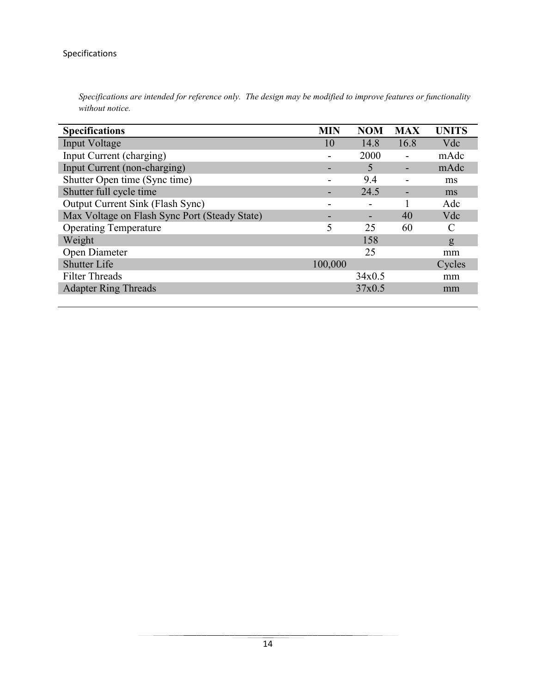#### <span id="page-13-0"></span>Specifications

| <b>Specifications</b>                         | <b>MIN</b> | <b>NOM</b> | <b>MAX</b>                   | <b>UNITS</b> |
|-----------------------------------------------|------------|------------|------------------------------|--------------|
| Input Voltage                                 | 10         | 14.8       | 16.8                         | Vdc          |
| Input Current (charging)                      |            | 2000       |                              | mAdc         |
| Input Current (non-charging)                  | -          | 5          |                              | mAdc         |
| Shutter Open time (Sync time)                 |            | 9.4        |                              | ms           |
| Shutter full cycle time                       | -          | 24.5       | $\qquad \qquad \blacksquare$ | ms           |
| Output Current Sink (Flash Sync)              | ۰          | ۰          |                              | Adc          |
| Max Voltage on Flash Sync Port (Steady State) | -          |            | 40                           | Vdc          |
| <b>Operating Temperature</b>                  | 5          | 25         | 60                           | C            |
| Weight                                        |            | 158        |                              | $\mathbf{g}$ |
| Open Diameter                                 |            | 25         |                              | mm           |
| <b>Shutter Life</b>                           | 100,000    |            |                              | Cycles       |
| <b>Filter Threads</b>                         |            | 34x0.5     |                              | mm           |
| <b>Adapter Ring Threads</b>                   |            | 37x0.5     |                              | mm           |

*Specifications are intended for reference only. The design may be modified to improve features or functionality without notice.*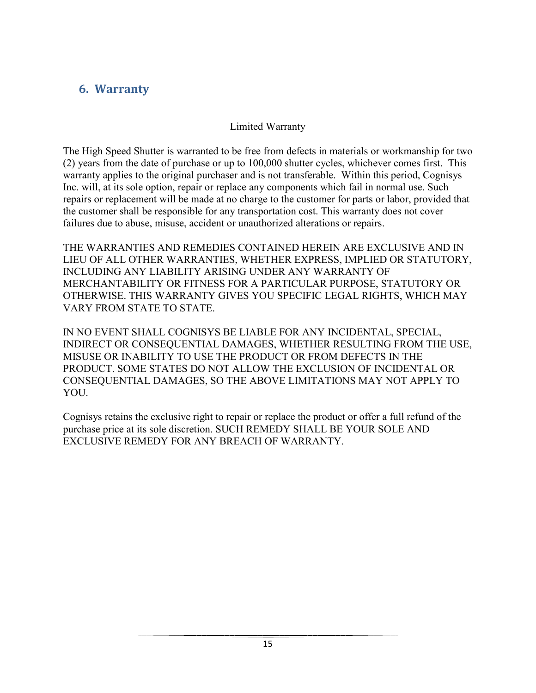## <span id="page-14-0"></span>**6. Warranty**

#### Limited Warranty

The High Speed Shutter is warranted to be free from defects in materials or workmanship for two (2) years from the date of purchase or up to 100,000 shutter cycles, whichever comes first. This warranty applies to the original purchaser and is not transferable. Within this period, Cognisys Inc. will, at its sole option, repair or replace any components which fail in normal use. Such repairs or replacement will be made at no charge to the customer for parts or labor, provided that the customer shall be responsible for any transportation cost. This warranty does not cover failures due to abuse, misuse, accident or unauthorized alterations or repairs.

THE WARRANTIES AND REMEDIES CONTAINED HEREIN ARE EXCLUSIVE AND IN LIEU OF ALL OTHER WARRANTIES, WHETHER EXPRESS, IMPLIED OR STATUTORY, INCLUDING ANY LIABILITY ARISING UNDER ANY WARRANTY OF MERCHANTABILITY OR FITNESS FOR A PARTICULAR PURPOSE, STATUTORY OR OTHERWISE. THIS WARRANTY GIVES YOU SPECIFIC LEGAL RIGHTS, WHICH MAY VARY FROM STATE TO STATE.

IN NO EVENT SHALL COGNISYS BE LIABLE FOR ANY INCIDENTAL, SPECIAL, INDIRECT OR CONSEQUENTIAL DAMAGES, WHETHER RESULTING FROM THE USE, MISUSE OR INABILITY TO USE THE PRODUCT OR FROM DEFECTS IN THE PRODUCT. SOME STATES DO NOT ALLOW THE EXCLUSION OF INCIDENTAL OR CONSEQUENTIAL DAMAGES, SO THE ABOVE LIMITATIONS MAY NOT APPLY TO YOU.

Cognisys retains the exclusive right to repair or replace the product or offer a full refund of the purchase price at its sole discretion. SUCH REMEDY SHALL BE YOUR SOLE AND EXCLUSIVE REMEDY FOR ANY BREACH OF WARRANTY.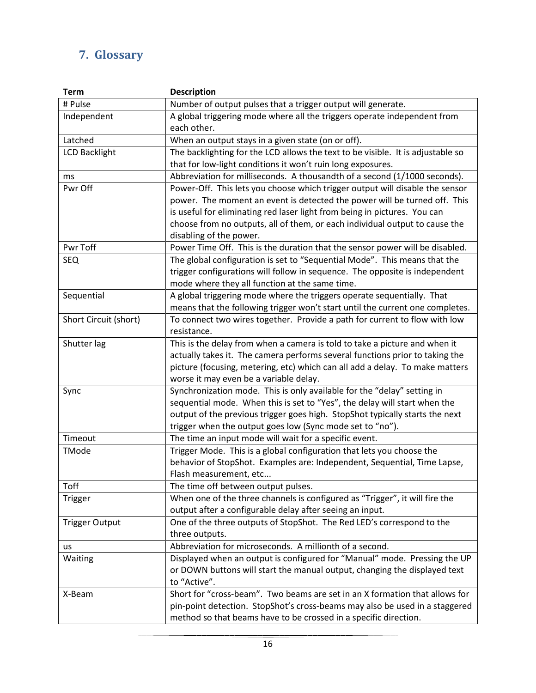# <span id="page-15-0"></span>**7. Glossary**

| <b>Term</b>           | <b>Description</b>                                                              |
|-----------------------|---------------------------------------------------------------------------------|
| # Pulse               | Number of output pulses that a trigger output will generate.                    |
| Independent           | A global triggering mode where all the triggers operate independent from        |
|                       | each other.                                                                     |
| Latched               | When an output stays in a given state (on or off).                              |
| <b>LCD Backlight</b>  | The backlighting for the LCD allows the text to be visible. It is adjustable so |
|                       | that for low-light conditions it won't ruin long exposures.                     |
| ms                    | Abbreviation for milliseconds. A thousandth of a second (1/1000 seconds).       |
| Pwr Off               | Power-Off. This lets you choose which trigger output will disable the sensor    |
|                       | power. The moment an event is detected the power will be turned off. This       |
|                       | is useful for eliminating red laser light from being in pictures. You can       |
|                       | choose from no outputs, all of them, or each individual output to cause the     |
|                       | disabling of the power.                                                         |
| Pwr Toff              | Power Time Off. This is the duration that the sensor power will be disabled.    |
| <b>SEQ</b>            | The global configuration is set to "Sequential Mode". This means that the       |
|                       | trigger configurations will follow in sequence. The opposite is independent     |
|                       | mode where they all function at the same time.                                  |
| Sequential            | A global triggering mode where the triggers operate sequentially. That          |
|                       | means that the following trigger won't start until the current one completes.   |
| Short Circuit (short) | To connect two wires together. Provide a path for current to flow with low      |
|                       | resistance.                                                                     |
| Shutter lag           | This is the delay from when a camera is told to take a picture and when it      |
|                       | actually takes it. The camera performs several functions prior to taking the    |
|                       | picture (focusing, metering, etc) which can all add a delay. To make matters    |
|                       | worse it may even be a variable delay.                                          |
| Sync                  | Synchronization mode. This is only available for the "delay" setting in         |
|                       | sequential mode. When this is set to "Yes", the delay will start when the       |
|                       | output of the previous trigger goes high. StopShot typically starts the next    |
|                       | trigger when the output goes low (Sync mode set to "no").                       |
| Timeout               | The time an input mode will wait for a specific event.                          |
| TMode                 | Trigger Mode. This is a global configuration that lets you choose the           |
|                       | behavior of StopShot. Examples are: Independent, Sequential, Time Lapse,        |
|                       | Flash measurement, etc                                                          |
| Toff                  | The time off between output pulses.                                             |
| Trigger               | When one of the three channels is configured as "Trigger", it will fire the     |
|                       | output after a configurable delay after seeing an input.                        |
| <b>Trigger Output</b> | One of the three outputs of StopShot. The Red LED's correspond to the           |
|                       | three outputs.                                                                  |
| us                    | Abbreviation for microseconds. A millionth of a second.                         |
| Waiting               | Displayed when an output is configured for "Manual" mode. Pressing the UP       |
|                       | or DOWN buttons will start the manual output, changing the displayed text       |
|                       | to "Active".                                                                    |
| X-Beam                | Short for "cross-beam". Two beams are set in an X formation that allows for     |
|                       | pin-point detection. StopShot's cross-beams may also be used in a staggered     |
|                       | method so that beams have to be crossed in a specific direction.                |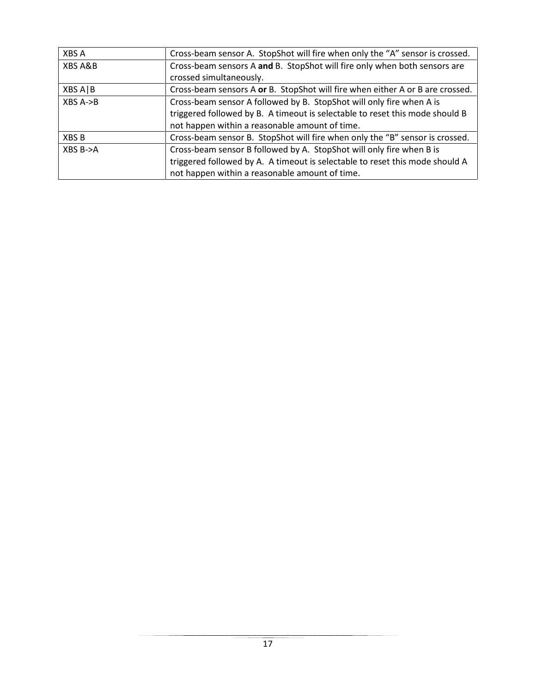| XBS A      | Cross-beam sensor A. StopShot will fire when only the "A" sensor is crossed.  |
|------------|-------------------------------------------------------------------------------|
| XBS A&B    | Cross-beam sensors A and B. StopShot will fire only when both sensors are     |
|            | crossed simultaneously.                                                       |
| XBS A B    | Cross-beam sensors A or B. StopShot will fire when either A or B are crossed. |
| $XBS A->B$ | Cross-beam sensor A followed by B. StopShot will only fire when A is          |
|            | triggered followed by B. A timeout is selectable to reset this mode should B  |
|            | not happen within a reasonable amount of time.                                |
| XBS B      | Cross-beam sensor B. StopShot will fire when only the "B" sensor is crossed.  |
| XBS B->A   | Cross-beam sensor B followed by A. StopShot will only fire when B is          |
|            | triggered followed by A. A timeout is selectable to reset this mode should A  |
|            | not happen within a reasonable amount of time.                                |